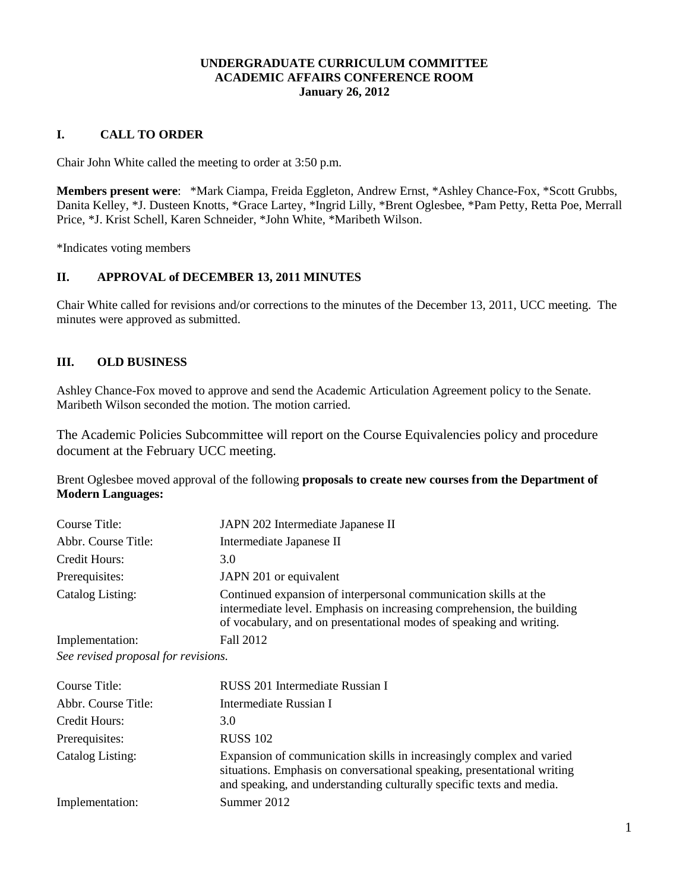### **UNDERGRADUATE CURRICULUM COMMITTEE ACADEMIC AFFAIRS CONFERENCE ROOM January 26, 2012**

### **I. CALL TO ORDER**

Chair John White called the meeting to order at 3:50 p.m.

**Members present were**: \*Mark Ciampa, Freida Eggleton, Andrew Ernst, \*Ashley Chance-Fox, \*Scott Grubbs, Danita Kelley, \*J. Dusteen Knotts, \*Grace Lartey, \*Ingrid Lilly, \*Brent Oglesbee, \*Pam Petty, Retta Poe, Merrall Price, \*J. Krist Schell, Karen Schneider, \*John White, \*Maribeth Wilson.

\*Indicates voting members

#### **II. APPROVAL of DECEMBER 13, 2011 MINUTES**

Chair White called for revisions and/or corrections to the minutes of the December 13, 2011, UCC meeting. The minutes were approved as submitted.

## **III. OLD BUSINESS**

Ashley Chance-Fox moved to approve and send the Academic Articulation Agreement policy to the Senate. Maribeth Wilson seconded the motion. The motion carried.

The Academic Policies Subcommittee will report on the Course Equivalencies policy and procedure document at the February UCC meeting.

Brent Oglesbee moved approval of the following **proposals to create new courses from the Department of Modern Languages:**

| Course Title:                    | JAPN 202 Intermediate Japanese II                                                                                                                                                                                 |
|----------------------------------|-------------------------------------------------------------------------------------------------------------------------------------------------------------------------------------------------------------------|
| Abbr. Course Title:              | Intermediate Japanese II                                                                                                                                                                                          |
| Credit Hours:                    | 3.0                                                                                                                                                                                                               |
| Prerequisites:                   | JAPN 201 or equivalent                                                                                                                                                                                            |
| Catalog Listing:                 | Continued expansion of interpersonal communication skills at the<br>intermediate level. Emphasis on increasing comprehension, the building<br>of vocabulary, and on presentational modes of speaking and writing. |
| Implementation:                  | Fall 2012                                                                                                                                                                                                         |
| Cas variand proposal for various |                                                                                                                                                                                                                   |

*See revised proposal for revisions.*

| Course Title:       | RUSS 201 Intermediate Russian I                                                                                                                                                                                         |
|---------------------|-------------------------------------------------------------------------------------------------------------------------------------------------------------------------------------------------------------------------|
| Abbr. Course Title: | Intermediate Russian I                                                                                                                                                                                                  |
| Credit Hours:       | 3.0                                                                                                                                                                                                                     |
| Prerequisites:      | <b>RUSS 102</b>                                                                                                                                                                                                         |
| Catalog Listing:    | Expansion of communication skills in increasingly complex and varied<br>situations. Emphasis on conversational speaking, presentational writing<br>and speaking, and understanding culturally specific texts and media. |
| Implementation:     | Summer 2012                                                                                                                                                                                                             |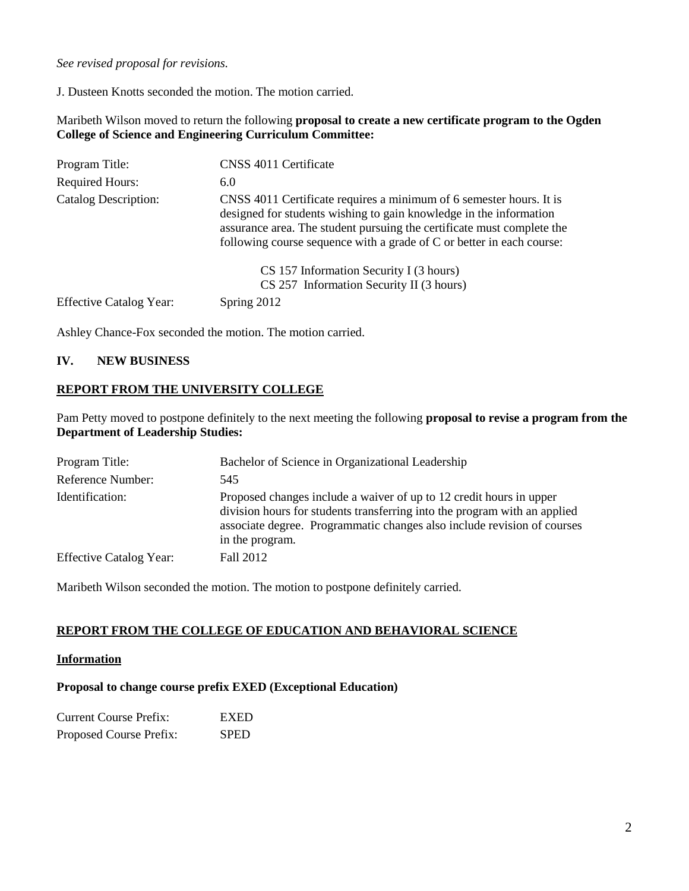*See revised proposal for revisions.*

J. Dusteen Knotts seconded the motion. The motion carried.

Maribeth Wilson moved to return the following **proposal to create a new certificate program to the Ogden College of Science and Engineering Curriculum Committee:**

| Program Title:                 | CNSS 4011 Certificate                                                                                                                                                                                                                                                                        |
|--------------------------------|----------------------------------------------------------------------------------------------------------------------------------------------------------------------------------------------------------------------------------------------------------------------------------------------|
| <b>Required Hours:</b>         | 6.0                                                                                                                                                                                                                                                                                          |
| <b>Catalog Description:</b>    | CNSS 4011 Certificate requires a minimum of 6 semester hours. It is<br>designed for students wishing to gain knowledge in the information<br>assurance area. The student pursuing the certificate must complete the<br>following course sequence with a grade of C or better in each course: |
|                                | CS 157 Information Security I (3 hours)<br>CS 257 Information Security II (3 hours)                                                                                                                                                                                                          |
| <b>Effective Catalog Year:</b> | Spring 2012                                                                                                                                                                                                                                                                                  |

Ashley Chance-Fox seconded the motion. The motion carried.

#### **IV. NEW BUSINESS**

### **REPORT FROM THE UNIVERSITY COLLEGE**

Pam Petty moved to postpone definitely to the next meeting the following **proposal to revise a program from the Department of Leadership Studies:**

| Program Title:                 | Bachelor of Science in Organizational Leadership                                                                                                                                                                                               |
|--------------------------------|------------------------------------------------------------------------------------------------------------------------------------------------------------------------------------------------------------------------------------------------|
| Reference Number:              | 545                                                                                                                                                                                                                                            |
| Identification:                | Proposed changes include a waiver of up to 12 credit hours in upper<br>division hours for students transferring into the program with an applied<br>associate degree. Programmatic changes also include revision of courses<br>in the program. |
| <b>Effective Catalog Year:</b> | Fall 2012                                                                                                                                                                                                                                      |

Maribeth Wilson seconded the motion. The motion to postpone definitely carried.

#### **REPORT FROM THE COLLEGE OF EDUCATION AND BEHAVIORAL SCIENCE**

#### **Information**

#### **Proposal to change course prefix EXED (Exceptional Education)**

| <b>Current Course Prefix:</b> | <b>EXED</b> |
|-------------------------------|-------------|
| Proposed Course Prefix:       | <b>SPED</b> |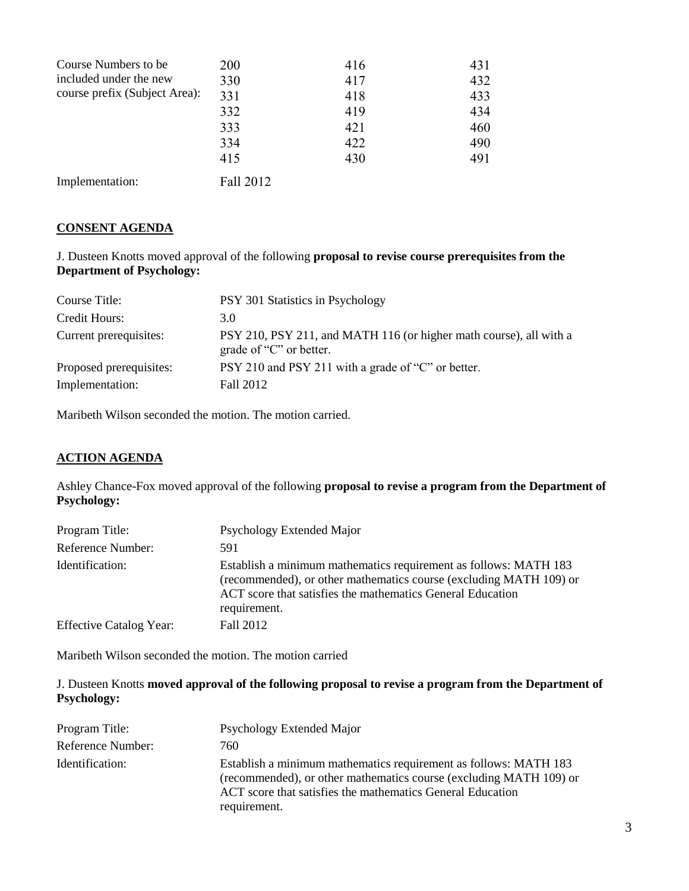| Course Numbers to be.         | <b>200</b> | 416 | 431 |
|-------------------------------|------------|-----|-----|
| included under the new        | 330        | 417 | 432 |
| course prefix (Subject Area): | 331        | 418 | 433 |
|                               | 332        | 419 | 434 |
|                               | 333        | 421 | 460 |
|                               | 334        | 422 | 490 |
|                               | 415        | 430 | 491 |
| Implementation:               | Fall 2012  |     |     |

### **CONSENT AGENDA**

J. Dusteen Knotts moved approval of the following **proposal to revise course prerequisites from the Department of Psychology:**

| Course Title:           | PSY 301 Statistics in Psychology                                                              |
|-------------------------|-----------------------------------------------------------------------------------------------|
| Credit Hours:           | 3.0                                                                                           |
| Current prerequisites:  | PSY 210, PSY 211, and MATH 116 (or higher math course), all with a<br>grade of "C" or better. |
| Proposed prerequisites: | PSY 210 and PSY 211 with a grade of "C" or better.                                            |
| Implementation:         | Fall 2012                                                                                     |

Maribeth Wilson seconded the motion. The motion carried.

#### **ACTION AGENDA**

Ashley Chance-Fox moved approval of the following **proposal to revise a program from the Department of Psychology:**

| Program Title:                 | Psychology Extended Major                                                                                                                                                                                            |
|--------------------------------|----------------------------------------------------------------------------------------------------------------------------------------------------------------------------------------------------------------------|
| Reference Number:              | 591                                                                                                                                                                                                                  |
| Identification:                | Establish a minimum mathematics requirement as follows: MATH 183<br>(recommended), or other mathematics course (excluding MATH 109) or<br>ACT score that satisfies the mathematics General Education<br>requirement. |
| <b>Effective Catalog Year:</b> | Fall 2012                                                                                                                                                                                                            |

Maribeth Wilson seconded the motion. The motion carried

### J. Dusteen Knotts **moved approval of the following proposal to revise a program from the Department of Psychology:**

| Program Title:    | Psychology Extended Major                                                                                                                                                                                            |
|-------------------|----------------------------------------------------------------------------------------------------------------------------------------------------------------------------------------------------------------------|
| Reference Number: | 760                                                                                                                                                                                                                  |
| Identification:   | Establish a minimum mathematics requirement as follows: MATH 183<br>(recommended), or other mathematics course (excluding MATH 109) or<br>ACT score that satisfies the mathematics General Education<br>requirement. |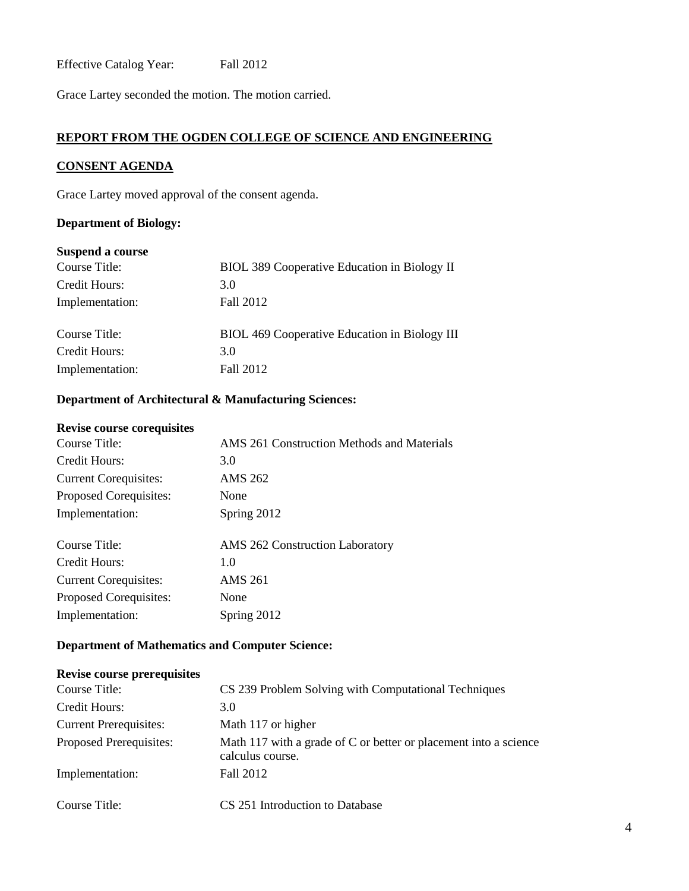Effective Catalog Year: Fall 2012

Grace Lartey seconded the motion. The motion carried.

## **REPORT FROM THE OGDEN COLLEGE OF SCIENCE AND ENGINEERING**

#### **CONSENT AGENDA**

Grace Lartey moved approval of the consent agenda.

### **Department of Biology:**

### **Suspend a course**

| Course Title:   | BIOL 389 Cooperative Education in Biology II  |
|-----------------|-----------------------------------------------|
| Credit Hours:   | 3.0                                           |
| Implementation: | Fall 2012                                     |
|                 |                                               |
| Course Title:   | BIOL 469 Cooperative Education in Biology III |
| Credit Hours:   | 3.0                                           |
| Implementation: | Fall 2012                                     |
|                 |                                               |

## **Department of Architectural & Manufacturing Sciences:**

### **Revise course corequisites**

| Course Title:                | AMS 261 Construction Methods and Materials |
|------------------------------|--------------------------------------------|
| Credit Hours:                | 3.0                                        |
| <b>Current Corequisites:</b> | AMS 262                                    |
| Proposed Corequisites:       | None                                       |
| Implementation:              | Spring 2012                                |
| Course Title:                | <b>AMS</b> 262 Construction Laboratory     |
| Credit Hours:                | 1.0                                        |
| <b>Current Corequisites:</b> | AMS 261                                    |
| Proposed Corequisites:       | None                                       |
| Implementation:              | Spring 2012                                |
|                              |                                            |

### **Department of Mathematics and Computer Science:**

| <b>Revise course prerequisites</b> |                                                                                      |
|------------------------------------|--------------------------------------------------------------------------------------|
| Course Title:                      | CS 239 Problem Solving with Computational Techniques                                 |
| Credit Hours:                      | 3.0                                                                                  |
| <b>Current Prerequisites:</b>      | Math 117 or higher                                                                   |
| <b>Proposed Prerequisites:</b>     | Math 117 with a grade of C or better or placement into a science<br>calculus course. |
| Implementation:                    | Fall 2012                                                                            |
| Course Title:                      | CS 251 Introduction to Database                                                      |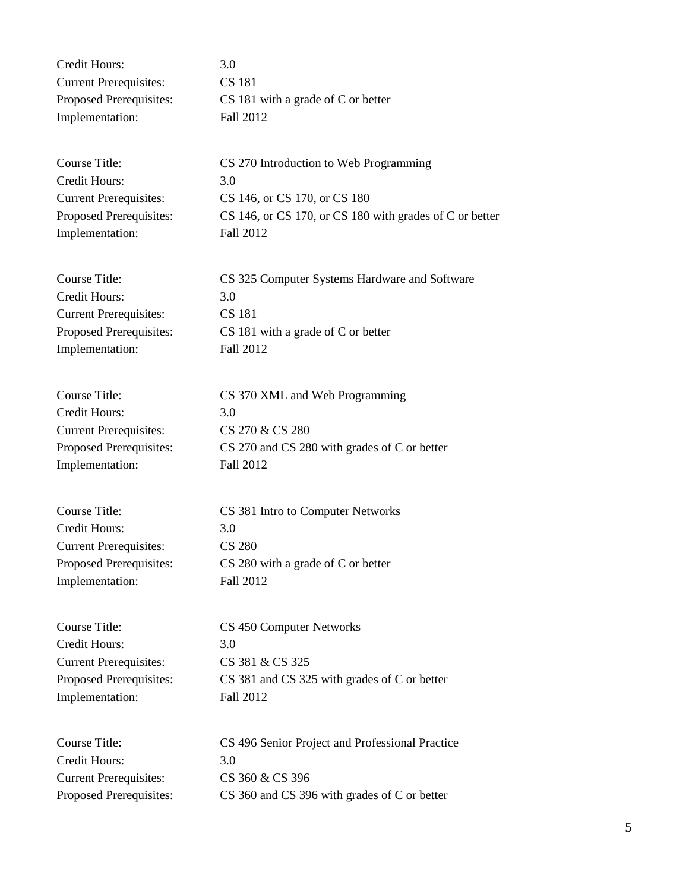| Credit Hours:                 | 3.0                                  |
|-------------------------------|--------------------------------------|
| <b>Current Prerequisites:</b> | CS 181                               |
| Proposed Prerequisites:       | $CS$ 181 with a grade of C or better |
| Implementation:               | Fall 2012                            |

Course Title: CS 270 Introduction to Web Programming Credit Hours: 3.0 Implementation: Fall 2012

Current Prerequisites: CS 146, or CS 170, or CS 180 Proposed Prerequisites: CS 146, or CS 170, or CS 180 with grades of C or better

| Course Title:                  | CS 325 Computer Systems Hardware and Software |
|--------------------------------|-----------------------------------------------|
| Credit Hours:                  | 3.O                                           |
| <b>Current Prerequisites:</b>  | CS 181                                        |
| <b>Proposed Prerequisites:</b> | $CS$ 181 with a grade of C or better          |
| Implementation:                | Fall 2012                                     |

| Course Title:                 | CS 370 XML and Web Programming               |
|-------------------------------|----------------------------------------------|
| Credit Hours:                 | 3.0                                          |
| <b>Current Prerequisites:</b> | CS 270 & CS 280                              |
| Proposed Prerequisites:       | CS 270 and CS 280 with grades of C or better |
| Implementation:               | Fall 2012                                    |

Credit Hours: 3.0 Current Prerequisites: CS 280 Implementation: Fall 2012

Course Title: CS 381 Intro to Computer Networks Proposed Prerequisites: CS 280 with a grade of C or better

Credit Hours: 3.0 Current Prerequisites: CS 381 & CS 325 Implementation: Fall 2012

Course Title: CS 450 Computer Networks Proposed Prerequisites: CS 381 and CS 325 with grades of C or better

| Course Title:                 | CS 496 Senior Project and Professional Practice |
|-------------------------------|-------------------------------------------------|
| Credit Hours:                 | 30                                              |
| <b>Current Prerequisites:</b> | CS 360 & CS 396                                 |
| Proposed Prerequisites:       | CS 360 and CS 396 with grades of C or better    |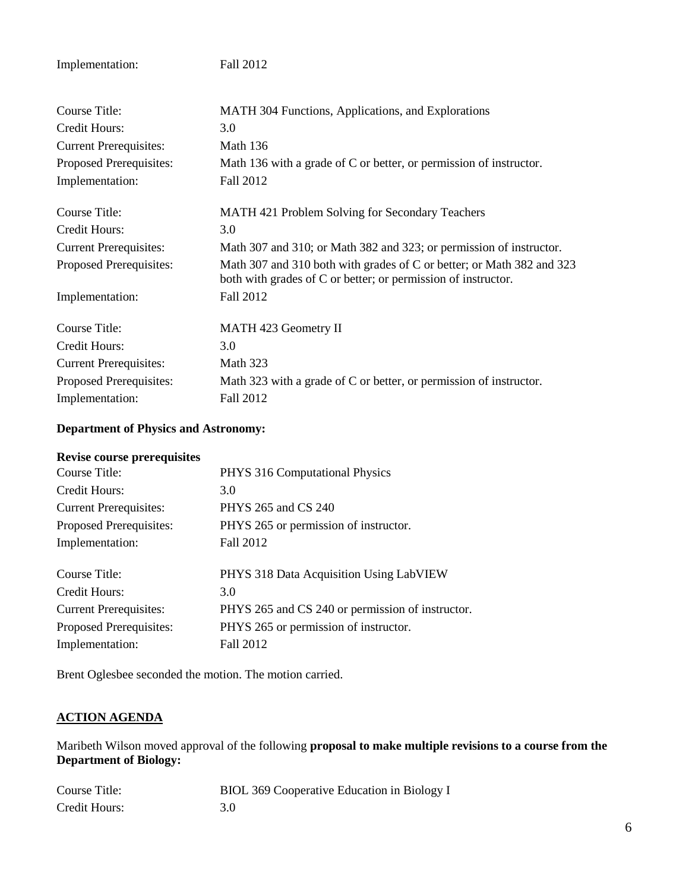Implementation: Fall 2012

| Course Title:                 | MATH 304 Functions, Applications, and Explorations                                                                                     |
|-------------------------------|----------------------------------------------------------------------------------------------------------------------------------------|
| Credit Hours:                 | 3.0                                                                                                                                    |
| <b>Current Prerequisites:</b> | Math 136                                                                                                                               |
| Proposed Prerequisites:       | Math 136 with a grade of C or better, or permission of instructor.                                                                     |
| Implementation:               | Fall 2012                                                                                                                              |
| Course Title:                 | <b>MATH 421 Problem Solving for Secondary Teachers</b>                                                                                 |
| Credit Hours:                 | 3.0                                                                                                                                    |
| <b>Current Prerequisites:</b> | Math 307 and 310; or Math 382 and 323; or permission of instructor.                                                                    |
| Proposed Prerequisites:       | Math 307 and 310 both with grades of C or better; or Math 382 and 323<br>both with grades of C or better; or permission of instructor. |
| Implementation:               | Fall 2012                                                                                                                              |
| Course Title:                 | MATH 423 Geometry II                                                                                                                   |
| Credit Hours:                 | 3.0                                                                                                                                    |
| <b>Current Prerequisites:</b> | Math 323                                                                                                                               |
| Proposed Prerequisites:       | Math 323 with a grade of C or better, or permission of instructor.                                                                     |
| Implementation:               | Fall 2012                                                                                                                              |

## **Department of Physics and Astronomy:**

### **Revise course prerequisites**

| Course Title:                 | PHYS 316 Computational Physics                   |
|-------------------------------|--------------------------------------------------|
| Credit Hours:                 | 3.0                                              |
| <b>Current Prerequisites:</b> | PHYS 265 and CS 240                              |
| Proposed Prerequisites:       | PHYS 265 or permission of instructor.            |
| Implementation:               | Fall 2012                                        |
| Course Title:                 | PHYS 318 Data Acquisition Using LabVIEW          |
| Credit Hours:                 | 3.0                                              |
| <b>Current Prerequisites:</b> | PHYS 265 and CS 240 or permission of instructor. |
| Proposed Prerequisites:       | PHYS 265 or permission of instructor.            |
| Implementation:               | Fall 2012                                        |
|                               |                                                  |

Brent Oglesbee seconded the motion. The motion carried.

## **ACTION AGENDA**

Maribeth Wilson moved approval of the following **proposal to make multiple revisions to a course from the Department of Biology:**

| Course Title: | BIOL 369 Cooperative Education in Biology I |
|---------------|---------------------------------------------|
| Credit Hours: | 3.0                                         |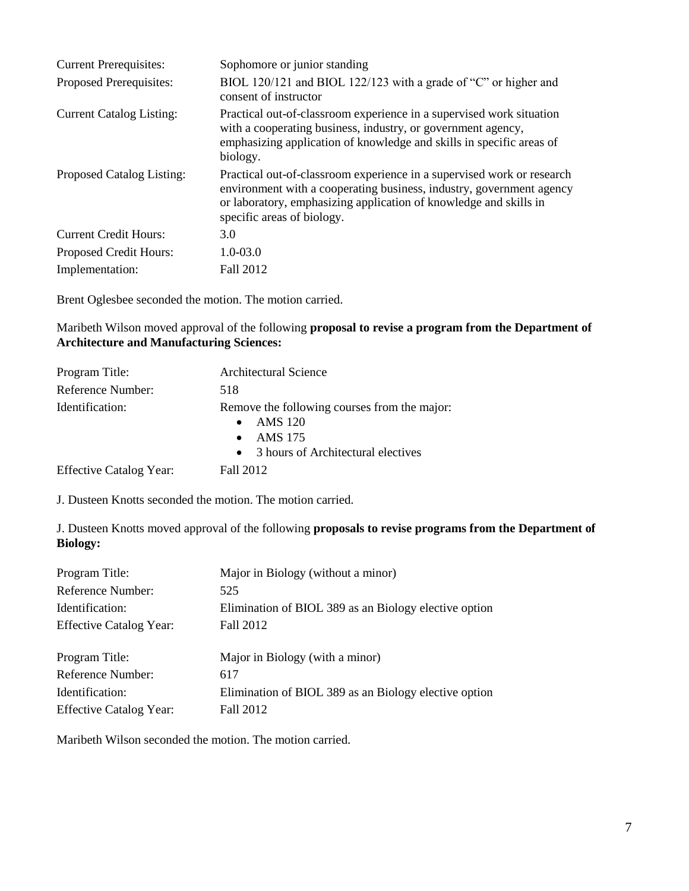| <b>Current Prerequisites:</b>   | Sophomore or junior standing                                                                                                                                                                                                                      |
|---------------------------------|---------------------------------------------------------------------------------------------------------------------------------------------------------------------------------------------------------------------------------------------------|
| Proposed Prerequisites:         | BIOL 120/121 and BIOL 122/123 with a grade of "C" or higher and<br>consent of instructor                                                                                                                                                          |
| <b>Current Catalog Listing:</b> | Practical out-of-classroom experience in a supervised work situation<br>with a cooperating business, industry, or government agency,<br>emphasizing application of knowledge and skills in specific areas of<br>biology.                          |
| Proposed Catalog Listing:       | Practical out-of-classroom experience in a supervised work or research<br>environment with a cooperating business, industry, government agency<br>or laboratory, emphasizing application of knowledge and skills in<br>specific areas of biology. |
| <b>Current Credit Hours:</b>    | 3.0                                                                                                                                                                                                                                               |
| <b>Proposed Credit Hours:</b>   | $1.0 - 03.0$                                                                                                                                                                                                                                      |
| Implementation:                 | Fall 2012                                                                                                                                                                                                                                         |

Brent Oglesbee seconded the motion. The motion carried.

Maribeth Wilson moved approval of the following **proposal to revise a program from the Department of Architecture and Manufacturing Sciences:**

| Program Title:                 | <b>Architectural Science</b>                                                                                                 |
|--------------------------------|------------------------------------------------------------------------------------------------------------------------------|
| Reference Number:              | 518                                                                                                                          |
| Identification:                | Remove the following courses from the major:<br>AMS 120<br><b>AMS 175</b><br>3 hours of Architectural electives<br>$\bullet$ |
| <b>Effective Catalog Year:</b> | Fall 2012                                                                                                                    |

J. Dusteen Knotts seconded the motion. The motion carried.

J. Dusteen Knotts moved approval of the following **proposals to revise programs from the Department of Biology:**

| Program Title:                 | Major in Biology (without a minor)                    |
|--------------------------------|-------------------------------------------------------|
| Reference Number:              | 525                                                   |
| Identification:                | Elimination of BIOL 389 as an Biology elective option |
| <b>Effective Catalog Year:</b> | Fall 2012                                             |
| Program Title:                 | Major in Biology (with a minor)                       |
| Reference Number:              | 617                                                   |
| Identification:                | Elimination of BIOL 389 as an Biology elective option |
| <b>Effective Catalog Year:</b> | Fall 2012                                             |

Maribeth Wilson seconded the motion. The motion carried.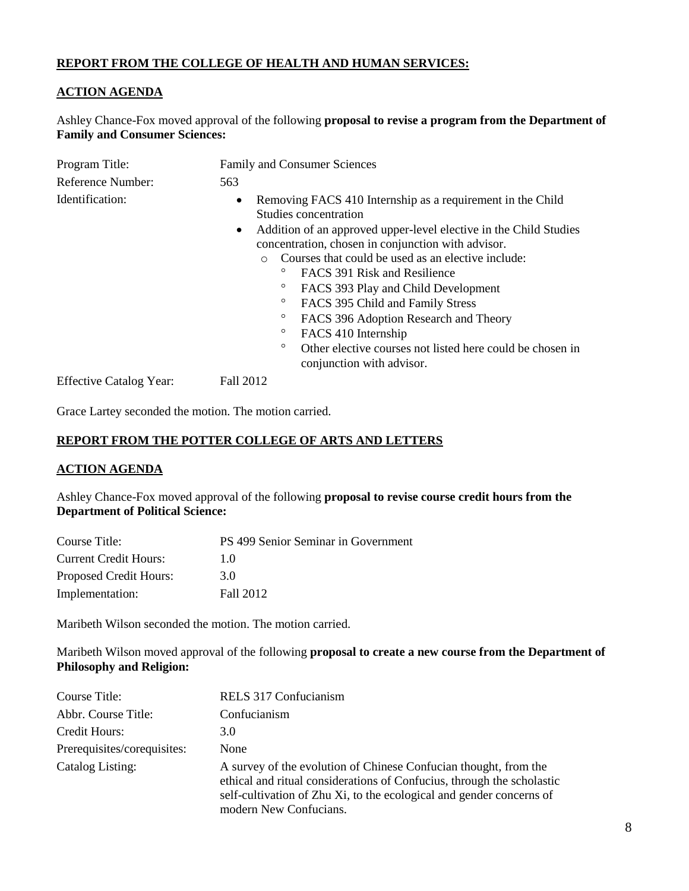### **REPORT FROM THE COLLEGE OF HEALTH AND HUMAN SERVICES:**

### **ACTION AGENDA**

Ashley Chance-Fox moved approval of the following **proposal to revise a program from the Department of Family and Consumer Sciences:**

| Program Title:                 | <b>Family and Consumer Sciences</b>                                                                                                                                                                                                                                                                                                                                                                                                                                                                                                                                                                                            |
|--------------------------------|--------------------------------------------------------------------------------------------------------------------------------------------------------------------------------------------------------------------------------------------------------------------------------------------------------------------------------------------------------------------------------------------------------------------------------------------------------------------------------------------------------------------------------------------------------------------------------------------------------------------------------|
| Reference Number:              | 563                                                                                                                                                                                                                                                                                                                                                                                                                                                                                                                                                                                                                            |
| Identification:                | Removing FACS 410 Internship as a requirement in the Child<br>Studies concentration<br>Addition of an approved upper-level elective in the Child Studies<br>$\bullet$<br>concentration, chosen in conjunction with advisor.<br>Courses that could be used as an elective include:<br>$\Omega$<br>o<br>FACS 391 Risk and Resilience<br>$\circ$<br>FACS 393 Play and Child Development<br>$\circ$<br>FACS 395 Child and Family Stress<br>$\circ$<br>FACS 396 Adoption Research and Theory<br>$\circ$<br>FACS 410 Internship<br>$\circ$<br>Other elective courses not listed here could be chosen in<br>conjunction with advisor. |
| <b>Effective Catalog Year:</b> | Fall 2012                                                                                                                                                                                                                                                                                                                                                                                                                                                                                                                                                                                                                      |

Grace Lartey seconded the motion. The motion carried.

#### **REPORT FROM THE POTTER COLLEGE OF ARTS AND LETTERS**

#### **ACTION AGENDA**

Ashley Chance-Fox moved approval of the following **proposal to revise course credit hours from the Department of Political Science:**

| Course Title:                | PS 499 Senior Seminar in Government |
|------------------------------|-------------------------------------|
| <b>Current Credit Hours:</b> | 10                                  |
| Proposed Credit Hours:       | 3.0                                 |
| Implementation:              | Fall 2012                           |

Maribeth Wilson seconded the motion. The motion carried.

Maribeth Wilson moved approval of the following **proposal to create a new course from the Department of Philosophy and Religion:**

| Course Title:               | RELS 317 Confucianism                                                                                                                                                                                                                        |
|-----------------------------|----------------------------------------------------------------------------------------------------------------------------------------------------------------------------------------------------------------------------------------------|
| Abbr. Course Title:         | Confucianism                                                                                                                                                                                                                                 |
| Credit Hours:               | 3.0                                                                                                                                                                                                                                          |
| Prerequisites/corequisites: | None                                                                                                                                                                                                                                         |
| Catalog Listing:            | A survey of the evolution of Chinese Confucian thought, from the<br>ethical and ritual considerations of Confucius, through the scholastic<br>self-cultivation of Zhu Xi, to the ecological and gender concerns of<br>modern New Confucians. |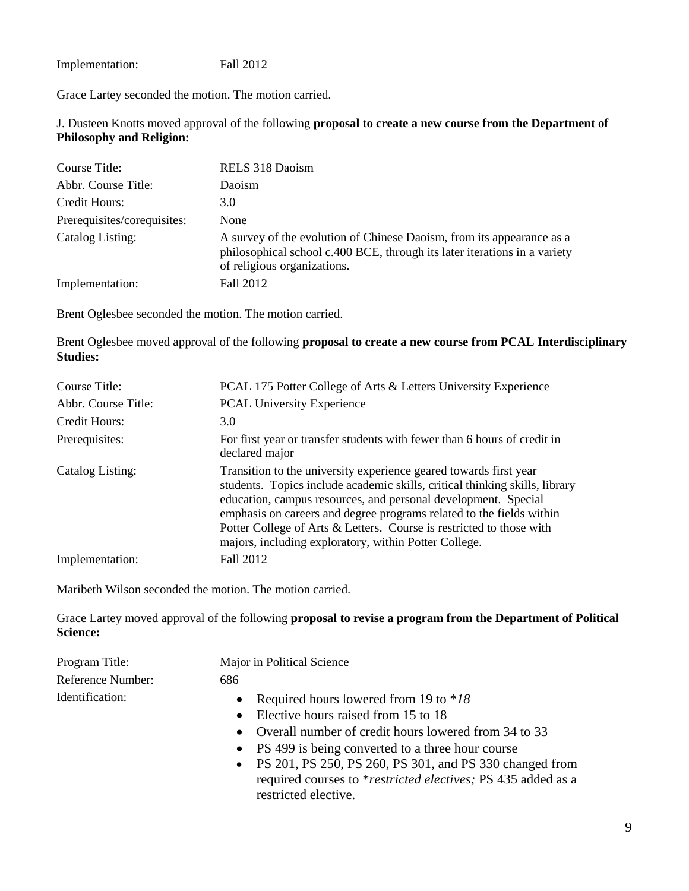Implementation: Fall 2012

Grace Lartey seconded the motion. The motion carried.

J. Dusteen Knotts moved approval of the following **proposal to create a new course from the Department of Philosophy and Religion:**

| Course Title:               | RELS 318 Daoism                                                                                                                                                                   |
|-----------------------------|-----------------------------------------------------------------------------------------------------------------------------------------------------------------------------------|
| Abbr. Course Title:         | Daoism                                                                                                                                                                            |
| Credit Hours:               | 3.0                                                                                                                                                                               |
| Prerequisites/corequisites: | None                                                                                                                                                                              |
| Catalog Listing:            | A survey of the evolution of Chinese Daoism, from its appearance as a<br>philosophical school c.400 BCE, through its later iterations in a variety<br>of religious organizations. |
| Implementation:             | Fall 2012                                                                                                                                                                         |

Brent Oglesbee seconded the motion. The motion carried.

Brent Oglesbee moved approval of the following **proposal to create a new course from PCAL Interdisciplinary Studies:**

| Course Title:       | PCAL 175 Potter College of Arts & Letters University Experience                                                                                                                                                                                                                                                                                                                                                             |
|---------------------|-----------------------------------------------------------------------------------------------------------------------------------------------------------------------------------------------------------------------------------------------------------------------------------------------------------------------------------------------------------------------------------------------------------------------------|
| Abbr. Course Title: | <b>PCAL University Experience</b>                                                                                                                                                                                                                                                                                                                                                                                           |
| Credit Hours:       | 3.0                                                                                                                                                                                                                                                                                                                                                                                                                         |
| Prerequisites:      | For first year or transfer students with fewer than 6 hours of credit in<br>declared major                                                                                                                                                                                                                                                                                                                                  |
| Catalog Listing:    | Transition to the university experience geared towards first year<br>students. Topics include academic skills, critical thinking skills, library<br>education, campus resources, and personal development. Special<br>emphasis on careers and degree programs related to the fields within<br>Potter College of Arts & Letters. Course is restricted to those with<br>majors, including exploratory, within Potter College. |
| Implementation:     | Fall 2012                                                                                                                                                                                                                                                                                                                                                                                                                   |

Maribeth Wilson seconded the motion. The motion carried.

Grace Lartey moved approval of the following **proposal to revise a program from the Department of Political Science:**

| Program Title:    | Major in Political Science                                 |
|-------------------|------------------------------------------------------------|
| Reference Number: | 686                                                        |
| Identification:   | • Required hours lowered from 19 to $*18$                  |
|                   | • Elective hours raised from 15 to 18                      |
|                   | • Overall number of credit hours lowered from 34 to 33     |
|                   | • PS 499 is being converted to a three hour course         |
|                   | $\sim$ DS 201 DS 250 DS 260 DS 301 and DS 330 changed from |

• PS 201, PS 250, PS 260, PS 301, and PS 330 changed from required courses to \**restricted electives;* PS 435 added as a restricted elective.